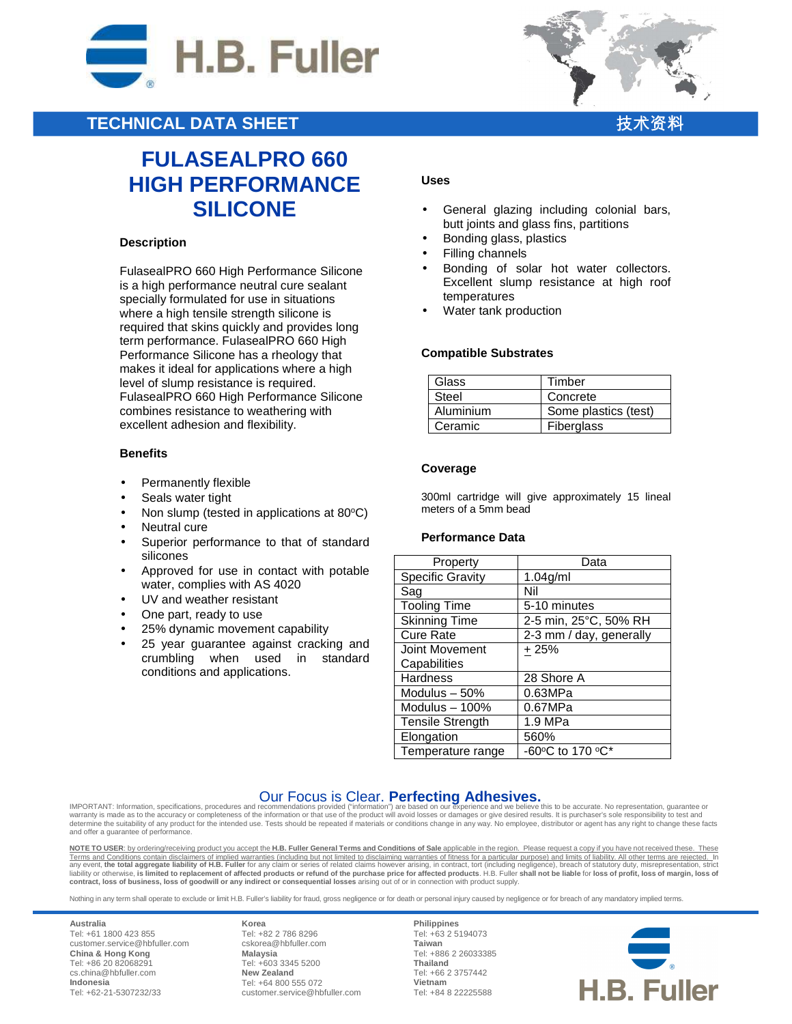

# **TECHNICAL DATA SHEET**

# **FULASEALPRO 660 HIGH PERFORMANCE SILICONE**

#### **Description**

FulasealPRO 660 High Performance Silicone is a high performance neutral cure sealant specially formulated for use in situations where a high tensile strength silicone is required that skins quickly and provides long term performance. FulasealPRO 660 High Performance Silicone has a rheology that makes it ideal for applications where a high level of slump resistance is required. FulasealPRO 660 High Performance Silicone combines resistance to weathering with excellent adhesion and flexibility.

#### **Benefits**

- Permanently flexible
- Seals water tight
- Non slump (tested in applications at 80°C)
- Neutral cure
- Superior performance to that of standard silicones
- Approved for use in contact with potable water, complies with AS 4020
- UV and weather resistant
- One part, ready to use
- 25% dynamic movement capability
- 25 year guarantee against cracking and crumbling when used in standard conditions and applications.

- General glazing including colonial bars, butt joints and glass fins, partitions
- Bonding glass, plastics
- Filling channels

**Uses** 

- Bonding of solar hot water collectors. Excellent slump resistance at high roof temperatures
- Water tank production

#### **Compatible Substrates**

| Glass     | Timber               |
|-----------|----------------------|
| Steel     | Concrete             |
| Aluminium | Some plastics (test) |
| Ceramic   | Fiberglass           |

#### **Coverage**

300ml cartridge will give approximately 15 lineal meters of a 5mm bead

#### **Performance Data**

| Property                | Data                    |
|-------------------------|-------------------------|
| <b>Specific Gravity</b> | $1.04$ g/ml             |
| Sag                     | Nil                     |
| <b>Tooling Time</b>     | 5-10 minutes            |
| <b>Skinning Time</b>    | 2-5 min, 25°C, 50% RH   |
| <b>Cure Rate</b>        | 2-3 mm / day, generally |
| Joint Movement          | $+25%$                  |
| Capabilities            |                         |
| Hardness                | 28 Shore A              |
| Modulus $-50%$          | 0.63MPa                 |
| Modulus $-100\%$        | 0.67MPa                 |
| <b>Tensile Strength</b> | 1.9 MPa                 |
| Elongation              | 560%                    |
| Temperature range       | -60°C to 170 °C*        |

## Our Focus is Clear. **Perfecting Adhesives.**

IMPORTANT: Information, specifications, procedures and recommendations provided ("information") are based on our experience and we believe this to be accurate. No representation, guarantee or<br>warranty is made as to the ac and offer a guarantee of performance.

**NOTE TO USER**: by ordering/receiving product you accept the **H.B. Fuller General Terms and Conditions of Sale** applicable in the region. Please request a copy if you have not received these. These Terms and Conditions contain disclaimers of implied warranties (including but not limited to disclaiming warranties of fitness for a particular purpose) and limits of liability. All other terms are rejected. In<br>any event, **contract, loss of business, loss of goodwill or any indirect or consequential losses** arising out of or in connection with product supply.

Nothing in any term shall operate to exclude or limit H.B. Fuller's liability for fraud, gross negligence or for death or personal injury caused by negligence or for breach of any mandatory implied terms.

**Australia** Tel: +61 1800 423 855 customer.service@hbfuller.com **China & Hong Kong**  Tel: +86 20 82068291 cs.china@hbfuller.com **Indonesia**  Tel: +62-21-5307232/33

**Korea** Tel: +82 2 786 8296 cskorea@hbfuller.com **Malaysia**  Tel: +603 3345 5200 **New Zealand** Tel: +64 800 555 072 customer.service@hbfuller.com

**Philippines** Tel: +63 2 5194073 **Taiwan**  Tel: +886 2 26033385 **Thailand**  Tel: +66 2 3757442 **Vietnam**  Tel: +84 8 22225588



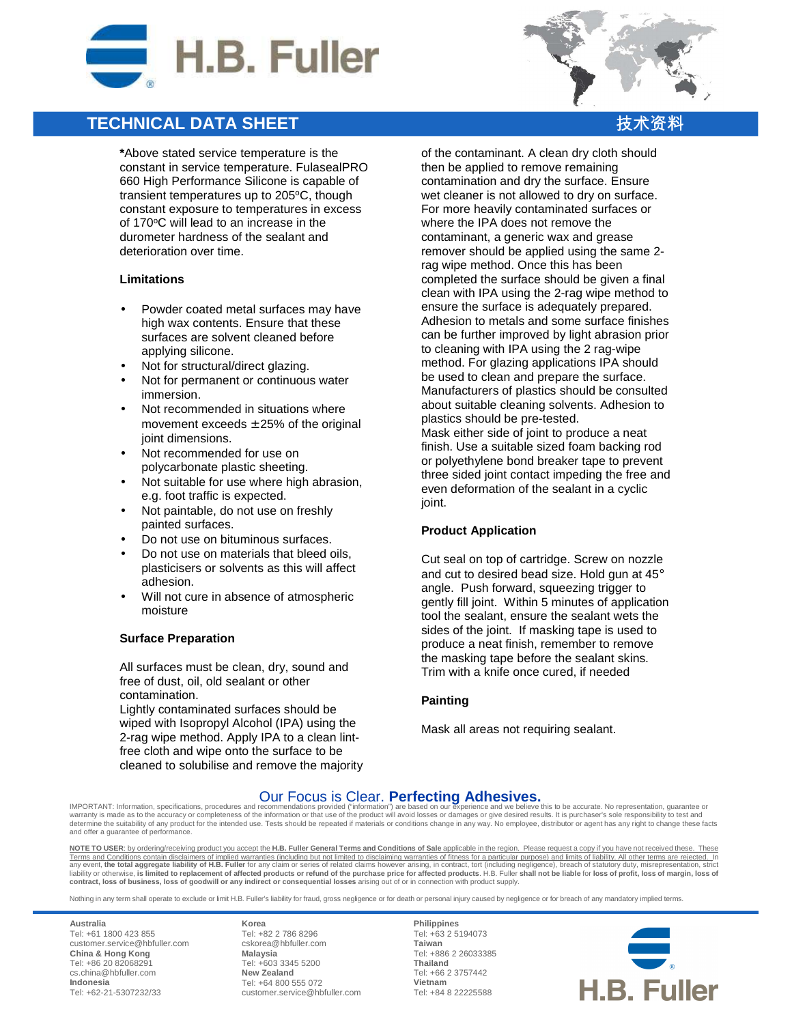

# **TECHNICAL DATA SHEET**

**\***Above stated service temperature is the constant in service temperature. FulasealPRO 660 High Performance Silicone is capable of transient temperatures up to 205°C, though constant exposure to temperatures in excess of 170°C will lead to an increase in the durometer hardness of the sealant and deterioration over time.

#### **Limitations**

- Powder coated metal surfaces may have high wax contents. Ensure that these surfaces are solvent cleaned before applying silicone.
- Not for structural/direct glazing.
- Not for permanent or continuous water immersion.
- Not recommended in situations where movement exceeds  $\pm$  25% of the original joint dimensions.
- Not recommended for use on polycarbonate plastic sheeting.
- Not suitable for use where high abrasion, e.g. foot traffic is expected.
- Not paintable, do not use on freshly painted surfaces.
- Do not use on bituminous surfaces.
- Do not use on materials that bleed oils, plasticisers or solvents as this will affect adhesion.
- Will not cure in absence of atmospheric moisture

### **Surface Preparation**

All surfaces must be clean, dry, sound and free of dust, oil, old sealant or other contamination.

Lightly contaminated surfaces should be wiped with Isopropyl Alcohol (IPA) using the 2-rag wipe method. Apply IPA to a clean lintfree cloth and wipe onto the surface to be cleaned to solubilise and remove the majority

of the contaminant. A clean dry cloth should then be applied to remove remaining contamination and dry the surface. Ensure wet cleaner is not allowed to dry on surface. For more heavily contaminated surfaces or where the IPA does not remove the contaminant, a generic wax and grease remover should be applied using the same 2 rag wipe method. Once this has been completed the surface should be given a final clean with IPA using the 2-rag wipe method to ensure the surface is adequately prepared. Adhesion to metals and some surface finishes can be further improved by light abrasion prior to cleaning with IPA using the 2 rag-wipe method. For glazing applications IPA should be used to clean and prepare the surface. Manufacturers of plastics should be consulted about suitable cleaning solvents. Adhesion to plastics should be pre-tested. Mask either side of joint to produce a neat finish. Use a suitable sized foam backing rod or polyethylene bond breaker tape to prevent three sided joint contact impeding the free and

#### **Product Application**

joint.

Cut seal on top of cartridge. Screw on nozzle and cut to desired bead size. Hold gun at  $45^{\circ}$ angle. Push forward, squeezing trigger to gently fill joint. Within 5 minutes of application tool the sealant, ensure the sealant wets the sides of the joint. If masking tape is used to produce a neat finish, remember to remove the masking tape before the sealant skins. Trim with a knife once cured, if needed

even deformation of the sealant in a cyclic

#### **Painting**

Mask all areas not requiring sealant.

## Our Focus is Clear. **Perfecting Adhesives.**

IMPORTANT: Information, specifications, procedures and recommendations provided ("information") are based on our experience and we believe this to be accurate. No representation, guarantee or<br>warranty is made as to the ac and offer a guarantee of performance.

**NOTE TO USER**: by ordering/receiving product you accept the **H.B. Fuller General Terms and Conditions of Sale** applicable in the region. Please request a copy if you have not received these. These Terms and Conditions contain disclaimers of implied warranties (including but not limited to disclaiming warranties of fitness for a particular purpose) and limits of liability. All other terms are rejected. In<br>any event, **contract, loss of business, loss of goodwill or any indirect or consequential losses** arising out of or in connection with product supply.

Nothing in any term shall operate to exclude or limit H.B. Fuller's liability for fraud, gross negligence or for death or personal injury caused by negligence or for breach of any mandatory implied terms.

**Australia** Tel: +61 1800 423 855 customer.service@hbfuller.com **China & Hong Kong**  Tel: +86 20 82068291 cs.china@hbfuller.com **Indonesia**  Tel: +62-21-5307232/33

**Korea** Tel: +82 2 786 8296 cskorea@hbfuller.com **Malaysia**  Tel: +603 3345 5200 **New Zealand** Tel: +64 800 555 072 customer.service@hbfuller.com

**Philippines** Tel: +63 2 5194073 **Taiwan**  Tel: +886 2 26033385 **Thailand**  Tel: +66 2 3757442 **Vietnam**  Tel: +84 8 22225588